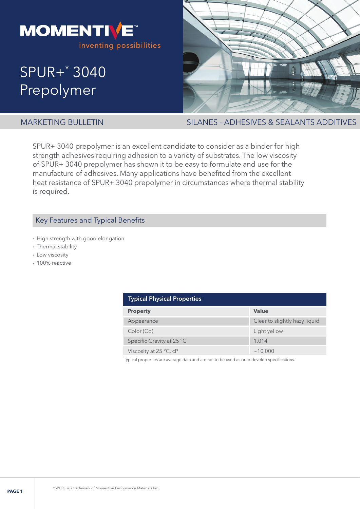

# SPUR+\* 3040 Prepolymer



MARKETING BULLETIN SILANES - ADHESIVES & SEALANTS ADDITIVES

SPUR+ 3040 prepolymer is an excellent candidate to consider as a binder for high strength adhesives requiring adhesion to a variety of substrates. The low viscosity of SPUR+ 3040 prepolymer has shown it to be easy to formulate and use for the manufacture of adhesives. Many applications have benefited from the excellent heat resistance of SPUR+ 3040 prepolymer in circumstances where thermal stability is required.

# Key Features and Typical Benefits

- High strength with good elongation
- Thermal stability
- Low viscosity
- 100% reactive

| <b>Typical Physical Properties</b> |                               |  |  |
|------------------------------------|-------------------------------|--|--|
| <b>Property</b>                    | Value                         |  |  |
| Appearance                         | Clear to slightly hazy liquid |  |  |
| Color (Co)                         | Light yellow                  |  |  |
| Specific Gravity at 25 °C          | 1.014                         |  |  |
| Viscosity at $25^{\circ}$ C, cP    | ~10.000                       |  |  |

Typical properties are average data and are not to be used as or to develop specifications.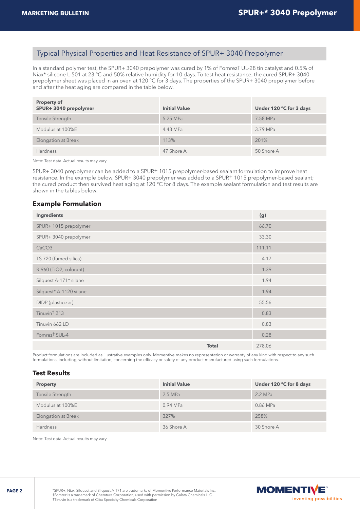# Typical Physical Properties and Heat Resistance of SPUR+ 3040 Prepolymer

In a standard polymer test, the SPUR+ 3040 prepolymer was cured by 1% of Fomrez† UL-28 tin catalyst and 0.5% of Niax\* silicone L-501 at 23 °C and 50% relative humidity for 10 days. To test heat resistance, the cured SPUR+ 3040 prepolymer sheet was placed in an oven at 120 °C for 3 days. The properties of the SPUR+ 3040 prepolymer before and after the heat aging are compared in the table below.

| <b>Property of</b><br>SPUR+3040 prepolymer | <b>Initial Value</b> | Under 120 °C for 3 days |
|--------------------------------------------|----------------------|-------------------------|
| Tensile Strength                           | 5.25 MPa             | 7.58 MPa                |
| Modulus at 100%E                           | 4.43 MPa             | 3.79 MPa                |
| Elongation at Break                        | 113%                 | 201%                    |
| <b>Hardness</b>                            | 47 Shore A           | 50 Shore A              |

Note: Test data. Actual results may vary.

SPUR+ 3040 prepolymer can be added to a SPUR+ 1015 prepolymer-based sealant formulation to improve heat resistance. In the example below, SPUR+ 3040 prepolymer was added to a SPUR+ 1015 prepolymer-based sealant; the cured product then survived heat aging at 120 °C for 8 days. The example sealant formulation and test results are shown in the tables below.

# **Example Formulation**

| Ingredients               |              | (g)    |
|---------------------------|--------------|--------|
| SPUR+ 1015 prepolymer     |              | 66.70  |
| SPUR+3040 prepolymer      |              | 33.30  |
| CaCO <sub>3</sub>         |              | 111.11 |
| TS 720 (fumed silica)     |              | 4.17   |
| R-960 (TiO2, colorant)    |              | 1.39   |
| Silquest A-171* silane    |              | 1.94   |
| Silquest* A-1120 silane   |              | 1.94   |
| DIDP (plasticizer)        |              | 55.56  |
| Tinuvin <sup>†</sup> 213  |              | 0.83   |
| Tinuvin 662 LD            |              | 0.83   |
| Fomrez <sup>†</sup> SUL-4 |              | 0.28   |
|                           | <b>Total</b> | 278.06 |

Product formulations are included as illustrative examples only. Momentive makes no representation or warranty of any kind with respect to any such formulations, including, without limitation, concerning the efficacy or safety of any product manufactured using such formulations.

## **Test Results**

| <b>Property</b>     | <b>Initial Value</b> | Under 120 °C for 8 days |
|---------------------|----------------------|-------------------------|
| Tensile Strength    | $2.5$ MPa            | 2.2 MPa                 |
| Modulus at 100%E    | $0.94$ MPa           | 0.86 MPa                |
| Elongation at Break | 327%                 | 258%                    |
| <b>Hardness</b>     | 36 Shore A           | 30 Shore A              |

Note: Test data. Actual results may vary.

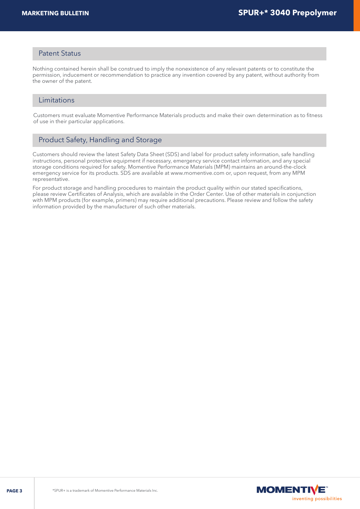# Patent Status

Nothing contained herein shall be construed to imply the nonexistence of any relevant patents or to constitute the permission, inducement or recommendation to practice any invention covered by any patent, without authority from the owner of the patent.

# Limitations

Customers must evaluate Momentive Performance Materials products and make their own determination as to fitness of use in their particular applications.

# Product Safety, Handling and Storage

Customers should review the latest Safety Data Sheet (SDS) and label for product safety information, safe handling instructions, personal protective equipment if necessary, emergency service contact information, and any special storage conditions required for safety. Momentive Performance Materials (MPM) maintains an around-the-clock emergency service for its products. SDS are available at www.momentive.com or, upon request, from any MPM representative.

For product storage and handling procedures to maintain the product quality within our stated specifications, please review Certificates of Analysis, which are available in the Order Center. Use of other materials in conjunction with MPM products (for example, primers) may require additional precautions. Please review and follow the safety information provided by the manufacturer of such other materials.